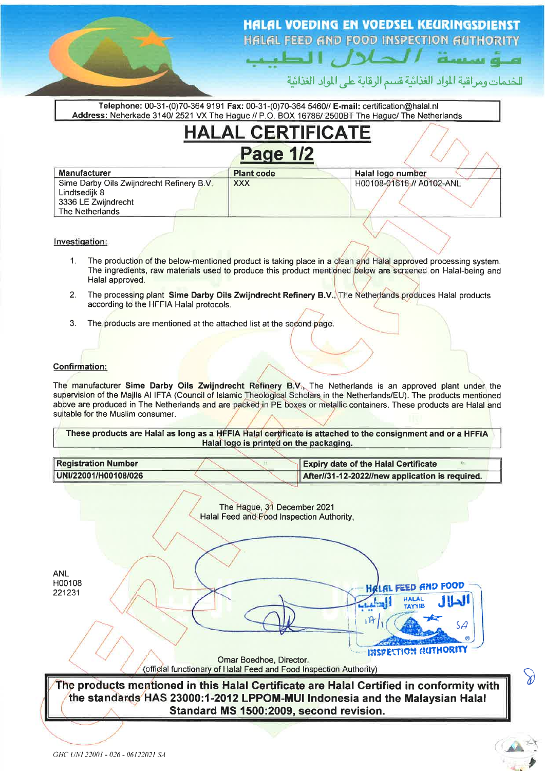## **HALAL VOEDING EN VOEDSEL KEURINGSDIENST** HALAL FEED AND FOOD INSPECTION AUTHORITY

المكلاب الطب

للخدمات ومراقبة المواد الغذائية قسم الرقابة على المواد الغذائية

amua a

 $\mathcal{S}$ 

Telephone: 00-31-(0)70-364 9191 Fax: 00-31-(0)70-364 5460// E-mail: certification@halal.nl Address: Neherkade 3140/2521 VX The Hague // P.O. BOX 16786/2500BT The Hague/ The Netherlands

|                                                                                                      | <b>HALAL CERTIFICATE</b> |                           |
|------------------------------------------------------------------------------------------------------|--------------------------|---------------------------|
|                                                                                                      | <b>Page 1/2</b>          |                           |
| <b>Manufacturer</b>                                                                                  | <b>Plant code</b>        | Halal logo number         |
| Sime Darby Oils Zwijndrecht Refinery B.V.<br>Lindtsedijk 8<br>3336 LE Zwijndrecht<br>The Netherlands | <b>XXX</b>               | H00108-01618 // A0102-ANL |

Investigation:

- $1$ The production of the below-mentioned product is taking place in a clean and Halal approved processing system. The ingredients, raw materials used to produce this product mentioned below are screened on Halal-being and Halal approved.
- The processing plant Sime Darby Oils Zwijndrecht Refinery B.V., The Netherlands produces Halal products  $\mathcal{P}$ according to the HFFIA Halal protocols.
- $\mathcal{R}$ The products are mentioned at the attached list at the second page.

## **Confirmation:**

The manufacturer Sime Darby Oils Zwijndrecht Refinery B.V., The Netherlands is an approved plant under the supervision of the Majlis AI IFTA (Council of Islamic Theological Scholars in the Netherlands/EU). The products mentioned above are produced in The Netherlands and are packed in PE boxes or metallic containers. These products are Halal and suitable for the Muslim consumer.

These products are Halal as long as a HFFIA Halal certificate is attached to the consignment and or a HFFIA Halal logo is printed on the packaging.

| Registration Number  |  | <b>Expiry date of the Halal Certificate</b>                 |
|----------------------|--|-------------------------------------------------------------|
| UNI/22001/H00108/026 |  | $\parallel$ After//31-12-2022//new application is required. |